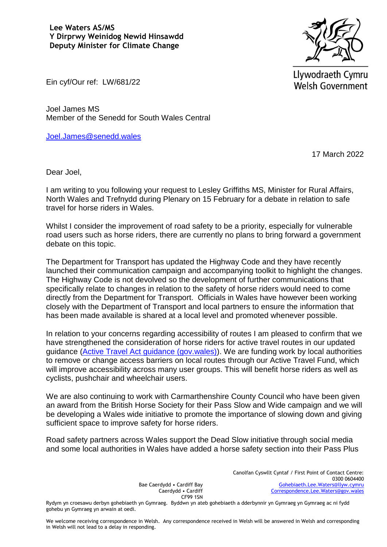

Llywodraeth Cymru **Welsh Government** 

Ein cyf/Our ref: LW/681/22

Joel James MS Member of the Senedd for South Wales Central

[Joel.James@senedd.wales](mailto:Joel.James@senedd.wales)

17 March 2022

Dear Joel,

I am writing to you following your request to Lesley Griffiths MS, Minister for Rural Affairs, North Wales and Trefnydd during Plenary on 15 February for a debate in relation to safe travel for horse riders in Wales.

Whilst I consider the improvement of road safety to be a priority, especially for vulnerable road users such as horse riders, there are currently no plans to bring forward a government debate on this topic.

The Department for Transport has updated the Highway Code and they have recently launched their communication campaign and accompanying toolkit to highlight the changes. The Highway Code is not devolved so the development of further communications that specifically relate to changes in relation to the safety of horse riders would need to come directly from the Department for Transport. Officials in Wales have however been working closely with the Department of Transport and local partners to ensure the information that has been made available is shared at a local level and promoted whenever possible.

In relation to your concerns regarding accessibility of routes I am pleased to confirm that we have strengthened the consideration of horse riders for active travel routes in our updated guidance [\(Active Travel Act guidance \(gov.wales\)\)](https://gov.wales/sites/default/files/publications/2022-01/active-travel-act-guidance.pdf). We are funding work by local authorities to remove or change access barriers on local routes through our Active Travel Fund, which will improve accessibility across many user groups. This will benefit horse riders as well as cyclists, pushchair and wheelchair users.

We are also continuing to work with Carmarthenshire County Council who have been given an award from the British Horse Society for their Pass Slow and Wide campaign and we will be developing a Wales wide initiative to promote the importance of slowing down and giving sufficient space to improve safety for horse riders.

Road safety partners across Wales support the Dead Slow initiative through social media and some local authorities in Wales have added a horse safety section into their Pass Plus

> Bae Caerdydd • Cardiff Bay Caerdydd • Cardiff CF99 1SN

Canolfan Cyswllt Cyntaf / First Point of Contact Centre: 0300 0604400 [Gohebiaeth.Lee.Waters@llyw.cymru](mailto:Gohebiaeth.Lee.Waters@llyw.cymru) [Correspondence.Lee.Waters@gov.wales](mailto:Correspondence.Lee.Waters@gov.wales)

Rydym yn croesawu derbyn gohebiaeth yn Gymraeg. Byddwn yn ateb gohebiaeth a dderbynnir yn Gymraeg yn Gymraeg ac ni fydd gohebu yn Gymraeg yn arwain at oedi.

We welcome receiving correspondence in Welsh. Any correspondence received in Welsh will be answered in Welsh and corresponding in Welsh will not lead to a delay in responding.